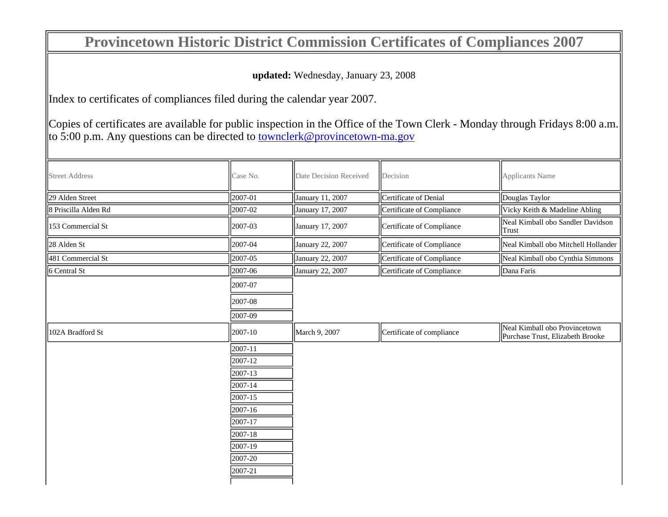## **Provincetown Historic District Commission Certificates of Compliances 2007**

**updated:** Wednesday, January 23, 2008

Index to certificates of compliances filed during the calendar year 2007.

Copies of certificates are available for public inspection in the Office of the Town Clerk - Monday through Fridays 8:00 a.m.  $\vert$  to 5:00 p.m. Any questions can be directed to townclerk@provincetown-ma.gov

| <b>Street Address</b> | Case No.         | Date Decision Received | Decision                  | <b>Applicants Name</b>                                            |
|-----------------------|------------------|------------------------|---------------------------|-------------------------------------------------------------------|
| 29 Alden Street       | $\sqrt{2007-01}$ | January 11, 2007       | Certificate of Denial     | Douglas Taylor                                                    |
| 8 Priscilla Alden Rd  | 2007-02          | January 17, 2007       | Certificate of Compliance | Vicky Keith & Madeline Abling                                     |
| 153 Commercial St     | 2007-03          | January 17, 2007       | Certificate of Compliance | Neal Kimball obo Sandler Davidson<br>Trust                        |
| 28 Alden St           | 2007-04          | January 22, 2007       | Certificate of Compliance | Neal Kimball obo Mitchell Hollander                               |
| 481 Commercial St     | 2007-05          | January 22, 2007       | Certificate of Compliance | Neal Kimball obo Cynthia Simmons                                  |
| 6 Central St          | 2007-06          | January 22, 2007       | Certificate of Compliance | Dana Faris                                                        |
|                       | 2007-07          |                        |                           |                                                                   |
|                       | 2007-08          |                        |                           |                                                                   |
|                       | 2007-09          |                        |                           |                                                                   |
| 102A Bradford St      | 2007-10          | March 9, 2007          | Certificate of compliance | Neal Kimball obo Provincetown<br>Purchase Trust, Elizabeth Brooke |
|                       | 2007-11          |                        |                           |                                                                   |
|                       | 2007-12          |                        |                           |                                                                   |
|                       | 2007-13          |                        |                           |                                                                   |
|                       | 2007-14          |                        |                           |                                                                   |
|                       | 2007-15          |                        |                           |                                                                   |
|                       | 2007-16          |                        |                           |                                                                   |
|                       | 2007-17          |                        |                           |                                                                   |
|                       | 2007-18          |                        |                           |                                                                   |
|                       | 2007-19          |                        |                           |                                                                   |
|                       | 2007-20          |                        |                           |                                                                   |
|                       | 2007-21          |                        |                           |                                                                   |
|                       |                  |                        |                           |                                                                   |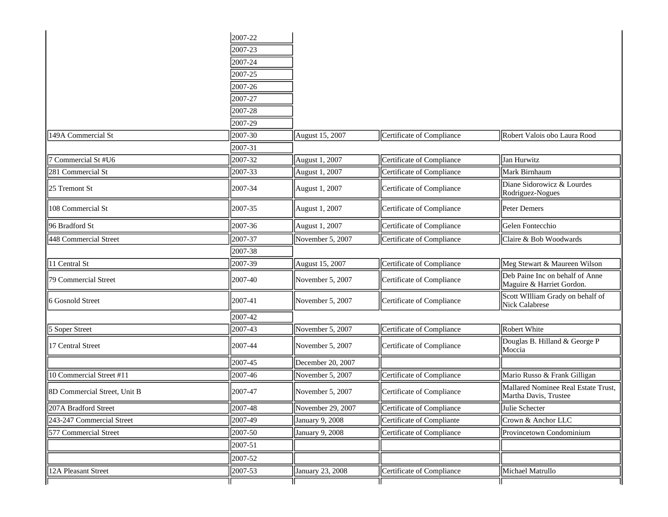|                              | 2007-22 |                   |                           |                                                              |
|------------------------------|---------|-------------------|---------------------------|--------------------------------------------------------------|
|                              | 2007-23 |                   |                           |                                                              |
|                              | 2007-24 |                   |                           |                                                              |
|                              | 2007-25 |                   |                           |                                                              |
|                              | 2007-26 |                   |                           |                                                              |
|                              | 2007-27 |                   |                           |                                                              |
|                              | 2007-28 |                   |                           |                                                              |
|                              | 2007-29 |                   |                           |                                                              |
| 149A Commercial St           | 2007-30 | August 15, 2007   | Certificate of Compliance | Robert Valois obo Laura Rood                                 |
|                              | 2007-31 |                   |                           |                                                              |
| 7 Commercial St #U6          | 2007-32 | August 1, 2007    | Certificate of Compliance | Jan Hurwitz                                                  |
| 281 Commercial St            | 2007-33 | August 1, 2007    | Certificate of Compliance | Mark Birnhaum                                                |
| 25 Tremont St                | 2007-34 | August 1, 2007    | Certificate of Compliance | Diane Sidorowicz & Lourdes<br>Rodriguez-Nogues               |
| 108 Commercial St            | 2007-35 | August 1, 2007    | Certificate of Compliance | Peter Demers                                                 |
| 96 Bradford St               | 2007-36 | August 1, 2007    | Certificate of Compliance | Gelen Fontecchio                                             |
| 448 Commercial Street        | 2007-37 | November 5, 2007  | Certificate of Compliance | Claire & Bob Woodwards                                       |
|                              | 2007-38 |                   |                           |                                                              |
| 11 Central St                | 2007-39 | August 15, 2007   | Certificate of Compliance | Meg Stewart & Maureen Wilson                                 |
| 79 Commercial Street         | 2007-40 | November 5, 2007  | Certificate of Compliance | Deb Paine Inc on behalf of Anne<br>Maguire & Harriet Gordon. |
| 6 Gosnold Street             | 2007-41 | November 5, 2007  | Certificate of Compliance | Scott WIlliam Grady on behalf of<br>Nick Calabrese           |
|                              | 2007-42 |                   |                           |                                                              |
| 5 Soper Street               | 2007-43 | November 5, 2007  | Certificate of Compliance | Robert White                                                 |
| 17 Central Street            | 2007-44 | November 5, 2007  | Certificate of Compliance | Douglas B. Hilland & George P<br>Moccia                      |
|                              | 2007-45 | December 20, 2007 |                           |                                                              |
| 10 Commercial Street #11     | 2007-46 | November 5, 2007  | Certificate of Compliance | Mario Russo & Frank Gilligan                                 |
| 8D Commercial Street, Unit B | 2007-47 | November 5, 2007  | Certificate of Compliance | Mallared Nominee Real Estate Trust,<br>Martha Davis, Trustee |
| 207A Bradford Street         | 2007-48 | November 29, 2007 | Certificate of Compliance | Julie Schecter                                               |
| 243-247 Commercial Street    | 2007-49 | January 9, 2008   | Certificate of Compliante | Crown & Anchor LLC                                           |
| 577 Commercial Street        | 2007-50 | January 9, 2008   | Certificate of Compliance | Provincetown Condominium                                     |
|                              | 2007-51 |                   |                           |                                                              |
|                              | 2007-52 |                   |                           |                                                              |
| 12A Pleasant Street          | 2007-53 | January 23, 2008  | Certificate of Compliance | Michael Matrullo                                             |
|                              |         |                   |                           |                                                              |